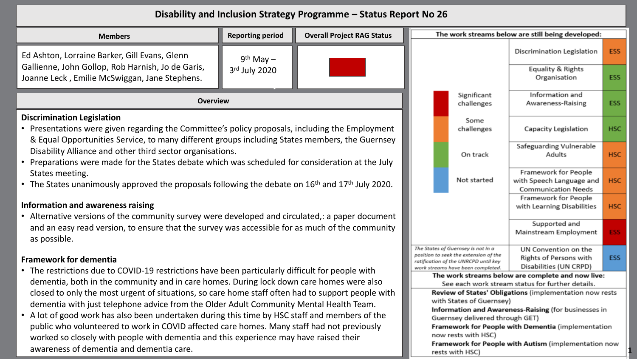## **Disability and Inclusion Strategy Programme – Status Report No 26**

| <b>Reporting period</b><br><b>Overall Project RAG Status</b><br><b>Members</b>                                                                                                                                                                                |               |                                                                                                                                                          |                                                                          |                                                                                                       | The work streams below are still being developed:                              |            |  |  |
|---------------------------------------------------------------------------------------------------------------------------------------------------------------------------------------------------------------------------------------------------------------|---------------|----------------------------------------------------------------------------------------------------------------------------------------------------------|--------------------------------------------------------------------------|-------------------------------------------------------------------------------------------------------|--------------------------------------------------------------------------------|------------|--|--|
| Ed Ashton, Lorraine Barker, Gill Evans, Glenn                                                                                                                                                                                                                 | $9th$ May $-$ |                                                                                                                                                          |                                                                          |                                                                                                       | Discrimination Legislation                                                     | <b>ESS</b> |  |  |
| Gallienne, John Gollop, Rob Harnish, Jo de Garis,<br>Joanne Leck, Emilie McSwiggan, Jane Stephens.                                                                                                                                                            | 3rd July 2020 |                                                                                                                                                          |                                                                          |                                                                                                       | Equality & Rights<br>Organisation                                              | <b>ESS</b> |  |  |
| <b>Overview</b>                                                                                                                                                                                                                                               |               | Significant<br>challenges                                                                                                                                | Information and<br>Awareness-Raising                                     | <b>ESS</b>                                                                                            |                                                                                |            |  |  |
| <b>Discrimination Legislation</b><br>• Presentations were given regarding the Committee's policy proposals, including the Employment                                                                                                                          |               |                                                                                                                                                          |                                                                          | Some<br>challenges                                                                                    | Capacity Legislation                                                           | <b>HSC</b> |  |  |
| & Equal Opportunities Service, to many different groups including States members, the Guernsey<br>Disability Alliance and other third sector organisations.<br>Preparations were made for the States debate which was scheduled for consideration at the July |               |                                                                                                                                                          |                                                                          | On track                                                                                              | Safeguarding Vulnerable<br>Adults                                              | <b>HSC</b> |  |  |
| States meeting.<br>The States unanimously approved the proposals following the debate on $16th$ and $17th$ July 2020.                                                                                                                                         |               |                                                                                                                                                          |                                                                          | Not started                                                                                           | Framework for People<br>with Speech Language and<br><b>Communication Needs</b> | <b>HSC</b> |  |  |
| Information and awareness raising<br>Alternative versions of the community survey were developed and circulated,: a paper document                                                                                                                            |               |                                                                                                                                                          |                                                                          |                                                                                                       | Framework for People<br>with Learning Disabilities                             | <b>HSC</b> |  |  |
| and an easy read version, to ensure that the survey was accessible for as much of the community<br>as possible.                                                                                                                                               |               |                                                                                                                                                          | Supported and<br>Mainstream Employment                                   | <b>ESS</b>                                                                                            |                                                                                |            |  |  |
| <b>Framework for dementia</b>                                                                                                                                                                                                                                 |               | The States of Guernsey is not in a<br>position to seek the extension of the<br>ratification of the UNRCPD until key<br>work streams have been completed. | UN Convention on the<br>Rights of Persons with<br>Disabilities (UN CRPD) | <b>ESS</b>                                                                                            |                                                                                |            |  |  |
| • The restrictions due to COVID-19 restrictions have been particularly difficult for people with<br>dementia, both in the community and in care homes. During lock down care homes were also                                                                  |               |                                                                                                                                                          |                                                                          | The work streams below are complete and now live:<br>See each work stream status for further details. |                                                                                |            |  |  |
| closed to only the most urgent of situations, so care home staff often had to support people with<br>dementia with just telephone advice from the Older Adult Community Mental Health Team.                                                                   |               |                                                                                                                                                          |                                                                          | with States of Guernsey)                                                                              | Review of States' Obligations (implementation now rests                        |            |  |  |
| A lot of good work has also been undertaken during this time by HSC staff and members of the<br>$\bullet$                                                                                                                                                     |               |                                                                                                                                                          |                                                                          | Information and Awareness-Raising (for businesses in<br>Guernsey delivered through GET)               |                                                                                |            |  |  |
| public who volunteered to work in COVID affected care homes. Many staff had not previously<br>worked so closely with people with demantin and this experience may have raised their                                                                           |               |                                                                                                                                                          |                                                                          | Framework for People with Dementia (implementation<br>now rests with HSC)                             |                                                                                |            |  |  |

**1**

Framework for People with Autism (implementation now

rests with HSC)

worked so closely with people with dementia and this experience may have raised their awareness of dementia and dementia care.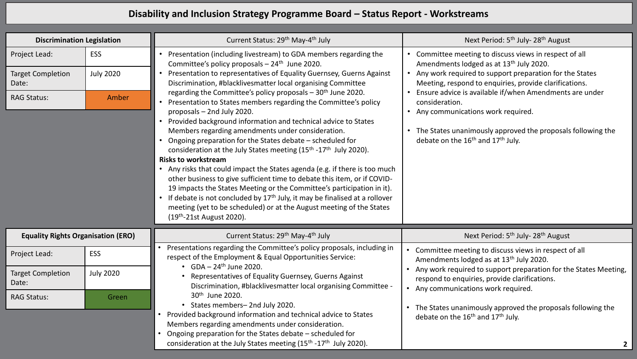## **Disability and Inclusion Strategy Programme Board – Status Report - Workstreams**

| <b>Discrimination Legislation</b>         |                  | Current Status: 29 <sup>th</sup> May-4 <sup>th</sup> July                                                                                                                                                                                                                                                                                                                                                                                                                                                                                                                                                                                                                                                                                                                                                                                                                                                                                                                                                                                                                                                                                                                                                                         | Next Period: 5 <sup>th</sup> July-28 <sup>th</sup> August                                                                                                                                                                                    |
|-------------------------------------------|------------------|-----------------------------------------------------------------------------------------------------------------------------------------------------------------------------------------------------------------------------------------------------------------------------------------------------------------------------------------------------------------------------------------------------------------------------------------------------------------------------------------------------------------------------------------------------------------------------------------------------------------------------------------------------------------------------------------------------------------------------------------------------------------------------------------------------------------------------------------------------------------------------------------------------------------------------------------------------------------------------------------------------------------------------------------------------------------------------------------------------------------------------------------------------------------------------------------------------------------------------------|----------------------------------------------------------------------------------------------------------------------------------------------------------------------------------------------------------------------------------------------|
| Project Lead:                             | <b>ESS</b>       | Presentation (including livestream) to GDA members regarding the<br>$\bullet$<br>Committee's policy proposals $-24$ <sup>th</sup> June 2020.<br>Presentation to representatives of Equality Guernsey, Guerns Against<br>$\bullet$<br>Discrimination, #blacklivesmatter local organising Committee<br>regarding the Committee's policy proposals - 30 <sup>th</sup> June 2020.<br>Presentation to States members regarding the Committee's policy<br>proposals - 2nd July 2020.<br>Provided background information and technical advice to States<br>Members regarding amendments under consideration.<br>Ongoing preparation for the States debate - scheduled for<br>consideration at the July States meeting (15 <sup>th</sup> -17 <sup>th</sup> July 2020).<br><b>Risks to workstream</b><br>• Any risks that could impact the States agenda (e.g. if there is too much<br>other business to give sufficient time to debate this item, or if COVID-<br>19 impacts the States Meeting or the Committee's participation in it).<br>If debate is not concluded by $17th$ July, it may be finalised at a rollover<br>$\bullet$<br>meeting (yet to be scheduled) or at the August meeting of the States<br>(19th-21st August 2020). | Committee meeting to discuss views in respect of all<br>Amendments lodged as at 13 <sup>th</sup> July 2020.<br>• Any work required to support preparation for the States<br>Meeting, respond to enquiries, provide clarifications.           |
| <b>Target Completion</b><br>Date:         | <b>July 2020</b> |                                                                                                                                                                                                                                                                                                                                                                                                                                                                                                                                                                                                                                                                                                                                                                                                                                                                                                                                                                                                                                                                                                                                                                                                                                   |                                                                                                                                                                                                                                              |
| <b>RAG Status:</b>                        | Amber            |                                                                                                                                                                                                                                                                                                                                                                                                                                                                                                                                                                                                                                                                                                                                                                                                                                                                                                                                                                                                                                                                                                                                                                                                                                   | Ensure advice is available if/when Amendments are under<br>consideration.<br>• Any communications work required.<br>The States unanimously approved the proposals following the<br>debate on the 16 <sup>th</sup> and 17 <sup>th</sup> July. |
| <b>Equality Rights Organisation (ERO)</b> |                  | Current Status: 29th May-4th July                                                                                                                                                                                                                                                                                                                                                                                                                                                                                                                                                                                                                                                                                                                                                                                                                                                                                                                                                                                                                                                                                                                                                                                                 | Next Period: 5 <sup>th</sup> July- 28 <sup>th</sup> August                                                                                                                                                                                   |
| Project Lead:                             | ESS              | Presentations regarding the Committee's policy proposals, including in<br>$\bullet$<br>respect of the Employment & Equal Opportunities Service:<br>• $GDA - 24$ <sup>th</sup> June 2020.<br>Representatives of Equality Guernsey, Guerns Against<br>Discrimination, #blacklivesmatter local organising Committee -                                                                                                                                                                                                                                                                                                                                                                                                                                                                                                                                                                                                                                                                                                                                                                                                                                                                                                                | Committee meeting to discuss views in respect of all<br>Amendments lodged as at 13 <sup>th</sup> July 2020.                                                                                                                                  |
| <b>Target Completion</b><br>Date:         | <b>July 2020</b> |                                                                                                                                                                                                                                                                                                                                                                                                                                                                                                                                                                                                                                                                                                                                                                                                                                                                                                                                                                                                                                                                                                                                                                                                                                   | Any work required to support preparation for the States Meeting,<br>respond to enquiries, provide clarifications.<br>• Any communications work required.                                                                                     |
| <b>RAG Status:</b>                        | Green            | 30th June 2020.<br>• States members-2nd July 2020.<br>Provided background information and technical advice to States<br>$\bullet$<br>Members regarding amendments under consideration.<br>Ongoing preparation for the States debate - scheduled for<br>consideration at the July States meeting (15 <sup>th</sup> -17 <sup>th</sup> July 2020).                                                                                                                                                                                                                                                                                                                                                                                                                                                                                                                                                                                                                                                                                                                                                                                                                                                                                   | The States unanimously approved the proposals following the<br>debate on the 16 <sup>th</sup> and 17 <sup>th</sup> July.                                                                                                                     |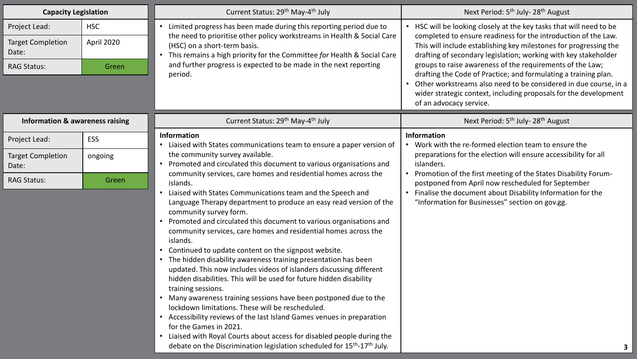| <b>Capacity Legislation</b>                                              |                                   | Current Status: 29 <sup>th</sup> May-4 <sup>th</sup> July                                                                                                                                                                                                                                                                                                                                                                                                                                                                                                                                                                                                                                                                                                                                                                                                                                                                                                                                                                                                                                             | Next Period: 5 <sup>th</sup> July-28 <sup>th</sup> August                                                                                                                                                                                                                                                                                                                                                                                                                                                                                           |
|--------------------------------------------------------------------------|-----------------------------------|-------------------------------------------------------------------------------------------------------------------------------------------------------------------------------------------------------------------------------------------------------------------------------------------------------------------------------------------------------------------------------------------------------------------------------------------------------------------------------------------------------------------------------------------------------------------------------------------------------------------------------------------------------------------------------------------------------------------------------------------------------------------------------------------------------------------------------------------------------------------------------------------------------------------------------------------------------------------------------------------------------------------------------------------------------------------------------------------------------|-----------------------------------------------------------------------------------------------------------------------------------------------------------------------------------------------------------------------------------------------------------------------------------------------------------------------------------------------------------------------------------------------------------------------------------------------------------------------------------------------------------------------------------------------------|
| Project Lead:<br><b>Target Completion</b><br>Date:<br><b>RAG Status:</b> | <b>HSC</b><br>April 2020<br>Green | Limited progress has been made during this reporting period due to<br>$\bullet$<br>the need to prioritise other policy workstreams in Health & Social Care<br>(HSC) on a short-term basis.<br>This remains a high priority for the Committee for Health & Social Care<br>and further progress is expected to be made in the next reporting<br>period.                                                                                                                                                                                                                                                                                                                                                                                                                                                                                                                                                                                                                                                                                                                                                 | HSC will be looking closely at the key tasks that will need to be<br>completed to ensure readiness for the introduction of the Law.<br>This will include establishing key milestones for progressing the<br>drafting of secondary legislation; working with key stakeholder<br>groups to raise awareness of the requirements of the Law;<br>drafting the Code of Practice; and formulating a training plan.<br>Other workstreams also need to be considered in due course, in a<br>wider strategic context, including proposals for the development |
| <b>Information &amp; awareness raising</b>                               |                                   | Current Status: 29 <sup>th</sup> May-4 <sup>th</sup> July                                                                                                                                                                                                                                                                                                                                                                                                                                                                                                                                                                                                                                                                                                                                                                                                                                                                                                                                                                                                                                             | of an advocacy service.<br>Next Period: 5 <sup>th</sup> July- 28 <sup>th</sup> August                                                                                                                                                                                                                                                                                                                                                                                                                                                               |
| Project Lead:                                                            | ESS                               | <b>Information</b><br>• Liaised with States communications team to ensure a paper version of                                                                                                                                                                                                                                                                                                                                                                                                                                                                                                                                                                                                                                                                                                                                                                                                                                                                                                                                                                                                          | <b>Information</b><br>Work with the re-formed election team to ensure the                                                                                                                                                                                                                                                                                                                                                                                                                                                                           |
| <b>Target Completion</b><br>Date:                                        | ongoing                           | the community survey available.<br>• Promoted and circulated this document to various organisations and                                                                                                                                                                                                                                                                                                                                                                                                                                                                                                                                                                                                                                                                                                                                                                                                                                                                                                                                                                                               | preparations for the election will ensure accessibility for all<br>islanders.                                                                                                                                                                                                                                                                                                                                                                                                                                                                       |
| <b>RAG Status:</b>                                                       | Green                             | community services, care homes and residential homes across the<br>islands.<br>Liaised with States Communications team and the Speech and<br>Language Therapy department to produce an easy read version of the<br>community survey form.<br>Promoted and circulated this document to various organisations and<br>community services, care homes and residential homes across the<br>islands.<br>Continued to update content on the signpost website.<br>The hidden disability awareness training presentation has been<br>updated. This now includes videos of islanders discussing different<br>hidden disabilities. This will be used for future hidden disability<br>training sessions.<br>• Many awareness training sessions have been postponed due to the<br>lockdown limitations. These will be rescheduled.<br>• Accessibility reviews of the last Island Games venues in preparation<br>for the Games in 2021.<br>Liaised with Royal Courts about access for disabled people during the<br>debate on the Discrimination legislation scheduled for 15 <sup>th</sup> -17 <sup>th</sup> July. | Promotion of the first meeting of the States Disability Forum-<br>postponed from April now rescheduled for September<br>• Finalise the document about Disability Information for the<br>"Information for Businesses" section on gov.gg.                                                                                                                                                                                                                                                                                                             |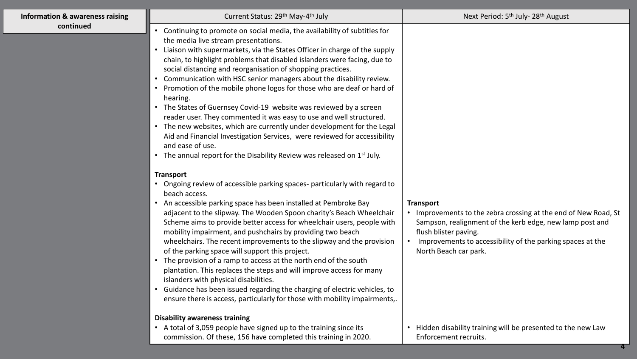| <b>Information &amp; awareness raising</b> | Current Status: 29 <sup>th</sup> May-4 <sup>th</sup> July                                                                                                                                                                                                                                                                                                                                                                                                                                                                                                                                                                                                                                                                                                                                                                                                                                                                                                                                                                                                                                                                                                                                                                                                                                                                                                                                                                                                                                                                                                                                                                                                                                                                                                                                                                              | Next Period: 5 <sup>th</sup> July- 28 <sup>th</sup> August                                                                                                                                                                                                                   |
|--------------------------------------------|----------------------------------------------------------------------------------------------------------------------------------------------------------------------------------------------------------------------------------------------------------------------------------------------------------------------------------------------------------------------------------------------------------------------------------------------------------------------------------------------------------------------------------------------------------------------------------------------------------------------------------------------------------------------------------------------------------------------------------------------------------------------------------------------------------------------------------------------------------------------------------------------------------------------------------------------------------------------------------------------------------------------------------------------------------------------------------------------------------------------------------------------------------------------------------------------------------------------------------------------------------------------------------------------------------------------------------------------------------------------------------------------------------------------------------------------------------------------------------------------------------------------------------------------------------------------------------------------------------------------------------------------------------------------------------------------------------------------------------------------------------------------------------------------------------------------------------------|------------------------------------------------------------------------------------------------------------------------------------------------------------------------------------------------------------------------------------------------------------------------------|
| continued                                  | Continuing to promote on social media, the availability of subtitles for<br>the media live stream presentations.<br>Liaison with supermarkets, via the States Officer in charge of the supply<br>chain, to highlight problems that disabled islanders were facing, due to<br>social distancing and reorganisation of shopping practices.<br>Communication with HSC senior managers about the disability review.<br>Promotion of the mobile phone logos for those who are deaf or hard of<br>hearing.<br>• The States of Guernsey Covid-19 website was reviewed by a screen<br>reader user. They commented it was easy to use and well structured.<br>The new websites, which are currently under development for the Legal<br>Aid and Financial Investigation Services, were reviewed for accessibility<br>and ease of use.<br>The annual report for the Disability Review was released on 1 <sup>st</sup> July.<br><b>Transport</b><br>• Ongoing review of accessible parking spaces-particularly with regard to<br>beach access.<br>An accessible parking space has been installed at Pembroke Bay<br>adjacent to the slipway. The Wooden Spoon charity's Beach Wheelchair<br>Scheme aims to provide better access for wheelchair users, people with<br>mobility impairment, and pushchairs by providing two beach<br>wheelchairs. The recent improvements to the slipway and the provision<br>of the parking space will support this project.<br>The provision of a ramp to access at the north end of the south<br>plantation. This replaces the steps and will improve access for many<br>islanders with physical disabilities.<br>Guidance has been issued regarding the charging of electric vehicles, to<br>ensure there is access, particularly for those with mobility impairments,.<br><b>Disability awareness training</b> | <b>Transport</b><br>• Improvements to the zebra crossing at the end of New Road, St<br>Sampson, realignment of the kerb edge, new lamp post and<br>flush blister paving.<br>Improvements to accessibility of the parking spaces at the<br>$\bullet$<br>North Beach car park. |
|                                            | • A total of 3,059 people have signed up to the training since its<br>commission. Of these, 156 have completed this training in 2020.                                                                                                                                                                                                                                                                                                                                                                                                                                                                                                                                                                                                                                                                                                                                                                                                                                                                                                                                                                                                                                                                                                                                                                                                                                                                                                                                                                                                                                                                                                                                                                                                                                                                                                  | Hidden disability training will be presented to the new Law<br>Enforcement recruits.                                                                                                                                                                                         |

**4**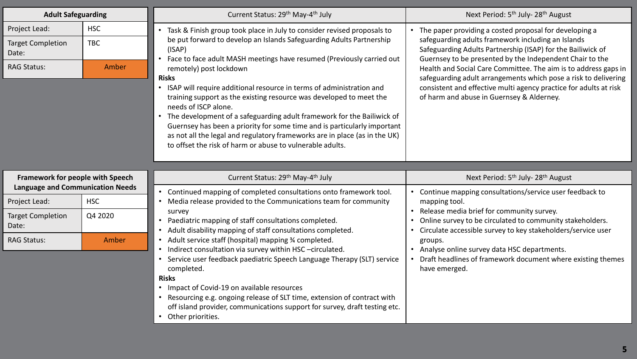| <b>Adult Safeguarding</b>                                                   |                                   | Current Status: 29 <sup>th</sup> May-4 <sup>th</sup> July                                                                                                                                                                                                                                                                                                                                                                                                                                                                                                                                                                                                                                                                                                                                    | Next Period: 5 <sup>th</sup> July- 28 <sup>th</sup> August                                                                                                                                                                                                                                                                                                                                                                                                                                        |
|-----------------------------------------------------------------------------|-----------------------------------|----------------------------------------------------------------------------------------------------------------------------------------------------------------------------------------------------------------------------------------------------------------------------------------------------------------------------------------------------------------------------------------------------------------------------------------------------------------------------------------------------------------------------------------------------------------------------------------------------------------------------------------------------------------------------------------------------------------------------------------------------------------------------------------------|---------------------------------------------------------------------------------------------------------------------------------------------------------------------------------------------------------------------------------------------------------------------------------------------------------------------------------------------------------------------------------------------------------------------------------------------------------------------------------------------------|
| Project Lead:<br><b>Target Completion</b><br>Date:<br><b>RAG Status:</b>    | <b>HSC</b><br><b>TBC</b><br>Amber | Task & Finish group took place in July to consider revised proposals to<br>be put forward to develop an Islands Safeguarding Adults Partnership<br>(ISAP)<br>Face to face adult MASH meetings have resumed (Previously carried out<br>$\bullet$<br>remotely) post lockdown<br><b>Risks</b><br>ISAP will require additional resource in terms of administration and<br>$\bullet$<br>training support as the existing resource was developed to meet the<br>needs of ISCP alone.<br>The development of a safeguarding adult framework for the Bailiwick of<br>$\bullet$<br>Guernsey has been a priority for some time and is particularly important<br>as not all the legal and regulatory frameworks are in place (as in the UK)<br>to offset the risk of harm or abuse to vulnerable adults. | • The paper providing a costed proposal for developing a<br>safeguarding adults framework including an Islands<br>Safeguarding Adults Partnership (ISAP) for the Bailiwick of<br>Guernsey to be presented by the Independent Chair to the<br>Health and Social Care Committee. The aim is to address gaps in<br>safeguarding adult arrangements which pose a risk to delivering<br>consistent and effective multi agency practice for adults at risk<br>of harm and abuse in Guernsey & Alderney. |
| Framework for people with Speech<br><b>Language and Communication Needs</b> |                                   | Current Status: 29 <sup>th</sup> May-4 <sup>th</sup> July                                                                                                                                                                                                                                                                                                                                                                                                                                                                                                                                                                                                                                                                                                                                    | Next Period: 5 <sup>th</sup> July- 28 <sup>th</sup> August                                                                                                                                                                                                                                                                                                                                                                                                                                        |
| Project Lead:                                                               | <b>HSC</b>                        | Continued mapping of completed consultations onto framework tool.<br>$\bullet$<br>Media release provided to the Communications team for community                                                                                                                                                                                                                                                                                                                                                                                                                                                                                                                                                                                                                                            | • Continue mapping consultations/service user feedback to<br>mapping tool.                                                                                                                                                                                                                                                                                                                                                                                                                        |
| <b>Target Completion</b><br>Date:                                           | Q4 2020                           | survey<br>Paediatric mapping of staff consultations completed.<br>Adult disability mapping of staff consultations completed.<br>$\bullet$<br>Adult service staff (hospital) mapping 3⁄4 completed.<br>$\bullet$<br>Indirect consultation via survey within HSC-circulated.<br>Service user feedback paediatric Speech Language Therapy (SLT) service<br>completed.<br><b>Risks</b><br>• Impact of Covid-19 on available resources<br>Resourcing e.g. ongoing release of SLT time, extension of contract with<br>off island provider, communications support for survey, draft testing etc.<br>Other priorities.<br>$\bullet$                                                                                                                                                                 | • Release media brief for community survey.<br>Online survey to be circulated to community stakeholders.<br>Circulate accessible survey to key stakeholders/service user                                                                                                                                                                                                                                                                                                                          |
| <b>RAG Status:</b>                                                          | Amber                             |                                                                                                                                                                                                                                                                                                                                                                                                                                                                                                                                                                                                                                                                                                                                                                                              | groups.<br>• Analyse online survey data HSC departments.<br>Draft headlines of framework document where existing themes<br>have emerged.                                                                                                                                                                                                                                                                                                                                                          |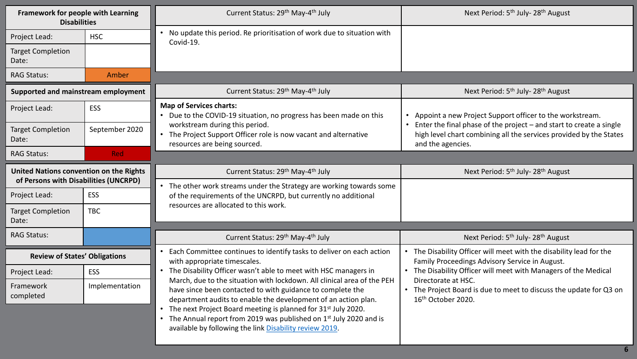| Framework for people with Learning<br><b>Disabilities</b>                        |                | Current Status: 29 <sup>th</sup> May-4 <sup>th</sup> July                                                                                                                                                                                                                                                                                                                                                                                                                                            | Next Period: 5 <sup>th</sup> July- 28 <sup>th</sup> August                                                                                                     |
|----------------------------------------------------------------------------------|----------------|------------------------------------------------------------------------------------------------------------------------------------------------------------------------------------------------------------------------------------------------------------------------------------------------------------------------------------------------------------------------------------------------------------------------------------------------------------------------------------------------------|----------------------------------------------------------------------------------------------------------------------------------------------------------------|
| Project Lead:                                                                    | <b>HSC</b>     | No update this period. Re prioritisation of work due to situation with<br>Covid-19.                                                                                                                                                                                                                                                                                                                                                                                                                  |                                                                                                                                                                |
| <b>Target Completion</b><br>Date:                                                |                |                                                                                                                                                                                                                                                                                                                                                                                                                                                                                                      |                                                                                                                                                                |
| <b>RAG Status:</b>                                                               | Amber          |                                                                                                                                                                                                                                                                                                                                                                                                                                                                                                      |                                                                                                                                                                |
| Supported and mainstream employment                                              |                | Current Status: 29 <sup>th</sup> May-4 <sup>th</sup> July                                                                                                                                                                                                                                                                                                                                                                                                                                            | Next Period: 5 <sup>th</sup> July- 28 <sup>th</sup> August                                                                                                     |
| Project Lead:                                                                    | ESS            | <b>Map of Services charts:</b><br>• Due to the COVID-19 situation, no progress has been made on this                                                                                                                                                                                                                                                                                                                                                                                                 | Appoint a new Project Support officer to the workstream.                                                                                                       |
| <b>Target Completion</b><br>Date:                                                | September 2020 | workstream during this period.<br>• The Project Support Officer role is now vacant and alternative<br>resources are being sourced.                                                                                                                                                                                                                                                                                                                                                                   | Enter the final phase of the project - and start to create a single<br>high level chart combining all the services provided by the States<br>and the agencies. |
| <b>RAG Status:</b>                                                               | <b>Red</b>     |                                                                                                                                                                                                                                                                                                                                                                                                                                                                                                      |                                                                                                                                                                |
| United Nations convention on the Rights<br>of Persons with Disabilities (UNCRPD) |                | Current Status: 29 <sup>th</sup> May-4 <sup>th</sup> July                                                                                                                                                                                                                                                                                                                                                                                                                                            | Next Period: 5 <sup>th</sup> July- 28 <sup>th</sup> August                                                                                                     |
| Project Lead:                                                                    | ESS            | The other work streams under the Strategy are working towards some<br>of the requirements of the UNCRPD, but currently no additional                                                                                                                                                                                                                                                                                                                                                                 |                                                                                                                                                                |
| <b>Target Completion</b><br>Date:                                                | <b>TBC</b>     | resources are allocated to this work.                                                                                                                                                                                                                                                                                                                                                                                                                                                                |                                                                                                                                                                |
| <b>RAG Status:</b>                                                               |                | Current Status: 29 <sup>th</sup> May-4 <sup>th</sup> July                                                                                                                                                                                                                                                                                                                                                                                                                                            | Next Period: 5 <sup>th</sup> July- 28 <sup>th</sup> August                                                                                                     |
| <b>Review of States' Obligations</b>                                             |                | Each Committee continues to identify tasks to deliver on each action<br>with appropriate timescales.                                                                                                                                                                                                                                                                                                                                                                                                 | • The Disability Officer will meet with the disability lead for the<br>Family Proceedings Advisory Service in August.                                          |
| Project Lead:                                                                    | <b>ESS</b>     | The Disability Officer wasn't able to meet with HSC managers in<br>$\bullet$<br>March, due to the situation with lockdown. All clinical area of the PEH<br>have since been contacted to with guidance to complete the<br>department audits to enable the development of an action plan.<br>The next Project Board meeting is planned for 31 <sup>st</sup> July 2020.<br>The Annual report from 2019 was published on 1st July 2020 and is<br>available by following the link Disability review 2019. | • The Disability Officer will meet with Managers of the Medical                                                                                                |
| Framework<br>completed                                                           | Implementation |                                                                                                                                                                                                                                                                                                                                                                                                                                                                                                      | Directorate at HSC.<br>• The Project Board is due to meet to discuss the update for Q3 on<br>16th October 2020.                                                |

**6**